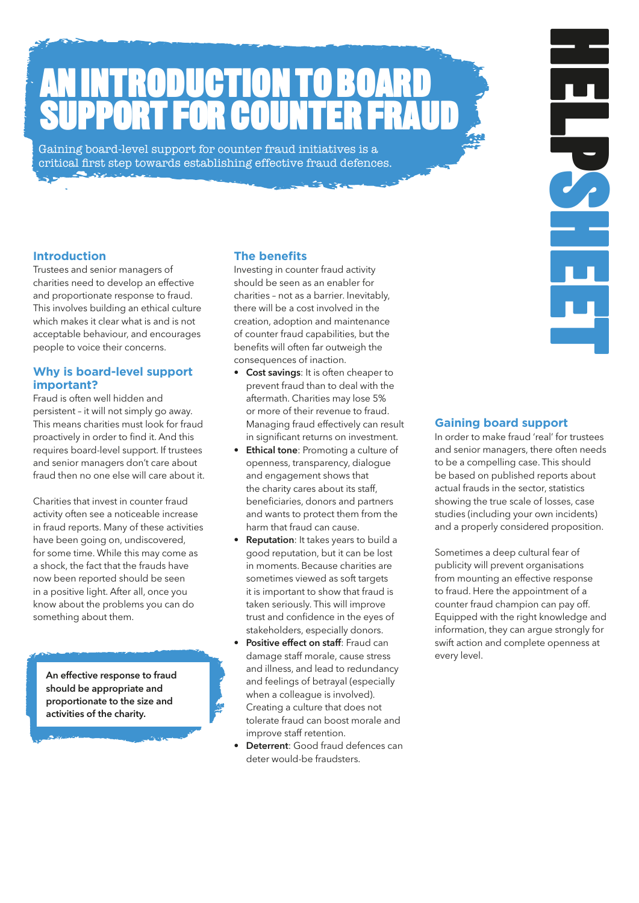# **ATION** SUPPORT FOR COUNTER FRAUD.

Gaining board-level support for counter fraud initiatives is a critical first step towards establishing effective fraud defences.

### **Introduction.**

Trustees and senior managers of charities need to develop an effective and proportionate response to fraud. This involves building an ethical culture which makes it clear what is and is not acceptable behaviour, and encourages people to voice their concerns.

### **Why is board-level support important?**

Fraud is often well hidden and persistent – it will not simply go away. This means charities must look for fraud proactively in order to find it. And this requires board-level support. If trustees and senior managers don't care about fraud then no one else will care about it.

Charities that invest in counter fraud activity often see a noticeable increase in fraud reports. Many of these activities have been going on, undiscovered, for some time. While this may come as a shock, the fact that the frauds have now been reported should be seen in a positive light. After all, once you know about the problems you can do something about them.

An effective response to fraud should be appropriate and proportionate to the size and activities of the charity.

### **The benefits.**

Investing in counter fraud activity should be seen as an enabler for charities – not as a barrier. Inevitably, there will be a cost involved in the creation, adoption and maintenance of counter fraud capabilities, but the benefits will often far outweigh the consequences of inaction.

- Cost savings: It is often cheaper to prevent fraud than to deal with the aftermath. Charities may lose 5% or more of their revenue to fraud. Managing fraud effectively can result in significant returns on investment.
- Ethical tone: Promoting a culture of openness, transparency, dialogue and engagement shows that the charity cares about its staff, beneficiaries, donors and partners and wants to protect them from the harm that fraud can cause.
- Reputation: It takes years to build a good reputation, but it can be lost in moments. Because charities are sometimes viewed as soft targets it is important to show that fraud is taken seriously. This will improve trust and confidence in the eyes of stakeholders, especially donors.
- Positive effect on staff: Fraud can damage staff morale, cause stress and illness, and lead to redundancy and feelings of betrayal (especially when a colleague is involved). Creating a culture that does not tolerate fraud can boost morale and improve staff retention.
- **Deterrent**: Good fraud defences can deter would-be fraudsters.

### **Gaining board support.**

In order to make fraud 'real' for trustees and senior managers, there often needs to be a compelling case. This should be based on published reports about actual frauds in the sector, statistics showing the true scale of losses, case studies (including your own incidents) and a properly considered proposition.

HELPSHEET.

Sometimes a deep cultural fear of publicity will prevent organisations from mounting an effective response to fraud. Here the appointment of a counter fraud champion can pay off. Equipped with the right knowledge and information, they can argue strongly for swift action and complete openness at every level.